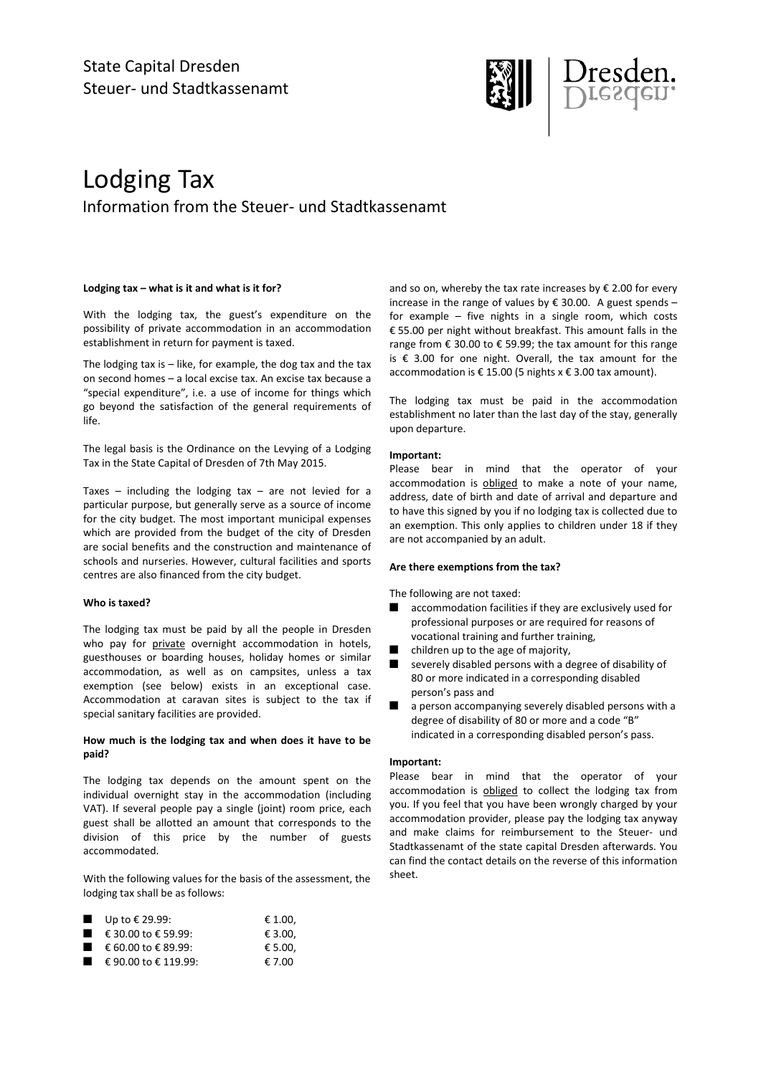

# Lodging Tax Information from the Steuer- und Stadtkassenamt

## **Lodging tax – what is it and what is it for?**

With the lodging tax, the guest's expenditure on the possibility of private accommodation in an accommodation establishment in return for payment is taxed.

The lodging tax is  $-$  like, for example, the dog tax and the tax on second homes – a local excise tax. An excise tax because a "special expenditure", i.e. a use of income for things which go beyond the satisfaction of the general requirements of life.

The legal basis is the Ordinance on the Levying of a Lodging Tax in the State Capital of Dresden of 7th May 2015.

Taxes – including the lodging tax – are not levied for a particular purpose, but generally serve as a source of income for the city budget. The most important municipal expenses which are provided from the budget of the city of Dresden are social benefits and the construction and maintenance of schools and nurseries. However, cultural facilities and sports centres are also financed from the city budget.

# **Who is taxed?**

The lodging tax must be paid by all the people in Dresden who pay for private overnight accommodation in hotels, guesthouses or boarding houses, holiday homes or similar accommodation, as well as on campsites, unless a tax exemption (see below) exists in an exceptional case. Accommodation at caravan sites is subject to the tax if special sanitary facilities are provided.

# **How much is the lodging tax and when does it have to be paid?**

The lodging tax depends on the amount spent on the individual overnight stay in the accommodation (including VAT). If several people pay a single (joint) room price, each guest shall be allotted an amount that corresponds to the division of this price by the number of guests accommodated.

With the following values for the basis of the assessment, the lodging tax shall be as follows:

| Up to € 29.99: | € 1.00, |
|----------------|---------|
|                |         |

| € 30.00 to € 59.99: | € 3.00, |
|---------------------|---------|
| € 60.00 to € 89.99: | € 5.00, |

 $\epsilon$  90.00 to  $\epsilon$  119.99:  $\epsilon$  7.00

and so on, whereby the tax rate increases by  $\epsilon$  2.00 for every increase in the range of values by € 30.00. A guest spends – for example – five nights in a single room, which costs € 55.00 per night without breakfast. This amount falls in the range from  $\epsilon$  30.00 to  $\epsilon$  59.99; the tax amount for this range is € 3.00 for one night. Overall, the tax amount for the accommodation is € 15.00 (5 nights  $x \notin 3.00$  tax amount).

The lodging tax must be paid in the accommodation establishment no later than the last day of the stay, generally upon departure.

# **Important:**

Please bear in mind that the operator of your accommodation is obliged to make a note of your name, address, date of birth and date of arrival and departure and to have this signed by you if no lodging tax is collected due to an exemption. This only applies to children under 18 if they are not accompanied by an adult.

# **Are there exemptions from the tax?**

The following are not taxed:

- accommodation facilities if they are exclusively used for professional purposes or are required for reasons of vocational training and further training,
- children up to the age of majority,
- severely disabled persons with a degree of disability of 80 or more indicated in a corresponding disabled person's pass and
- a person accompanying severely disabled persons with a degree of disability of 80 or more and a code "B" indicated in a corresponding disabled person's pass.

# **Important:**

Please bear in mind that the operator of your accommodation is obliged to collect the lodging tax from you. If you feel that you have been wrongly charged by your accommodation provider, please pay the lodging tax anyway and make claims for reimbursement to the Steuer- und Stadtkassenamt of the state capital Dresden afterwards. You can find the contact details on the reverse of this information sheet.